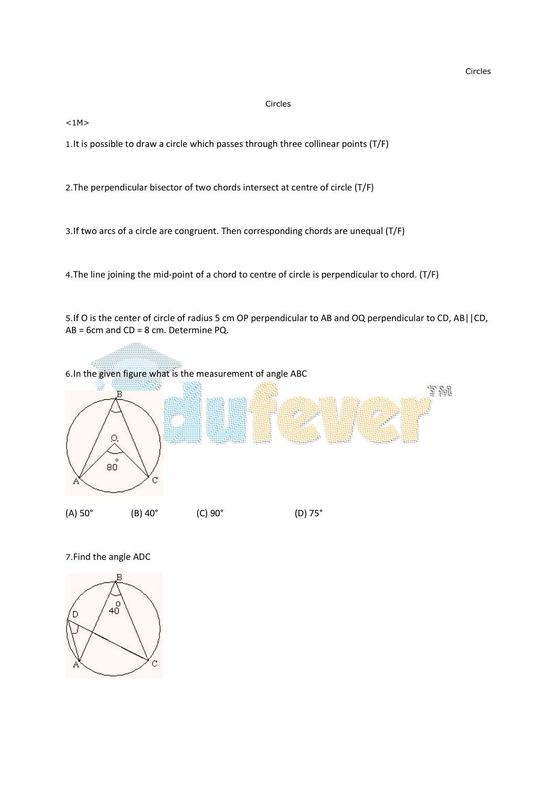$<1M>$ 

1.It is possible to draw a circle which passes through three collinear points (T/F)

2.The perpendicular bisector of two chords intersect at centre of circle (T/F)

3.If two arcs of a circle are congruent. Then corresponding chords are unequal (T/F)

4.The line joining the mid-point of a chord to centre of circle is perpendicular to chord. (T/F)

5.If O is the center of circle of radius 5 cm OP perpendicular to AB and OQ perpendicular to CD, AB||CD, AB = 6cm and CD = 8 cm. Determine PQ.



7.Find the angle ADC

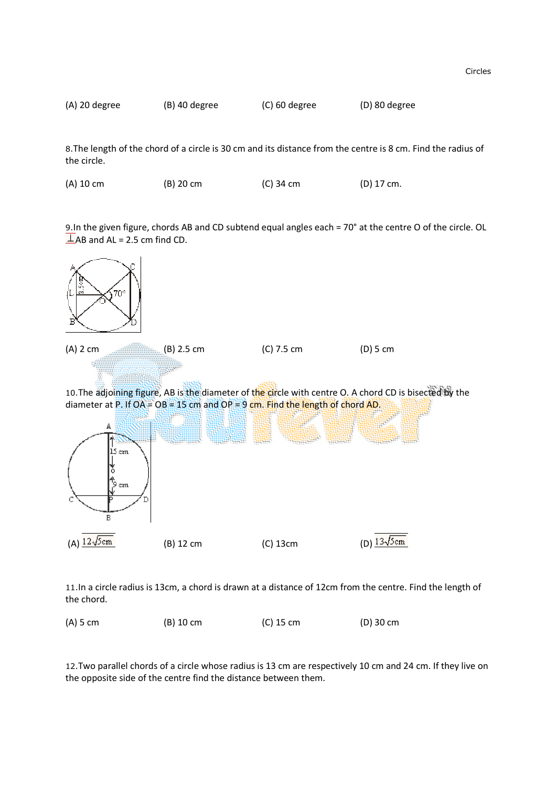

8.The length of the chord of a circle is 30 cm and its distance from the centre is 8 cm. Find the radius of the circle.

|  | $(A)$ 10 cm | $(B)$ 20 cm | $(C)$ 34 cm | (D) 17 cm. |
|--|-------------|-------------|-------------|------------|
|--|-------------|-------------|-------------|------------|

9.In the given figure, chords AB and CD subtend equal angles each = 70° at the centre O of the circle. OL  $\perp$ AB and AL = 2.5 cm find CD.



11.In a circle radius is 13cm, a chord is drawn at a distance of 12cm from the centre. Find the length of the chord.

(A) 5 cm (B) 10 cm (C) 15 cm (D) 30 cm

12.Two parallel chords of a circle whose radius is 13 cm are respectively 10 cm and 24 cm. If they live on the opposite side of the centre find the distance between them.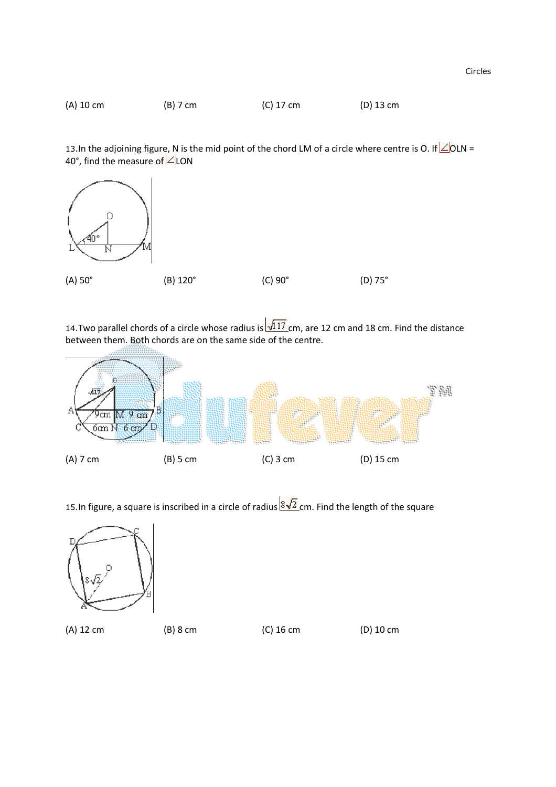

13.In the adjoining figure, N is the mid point of the chord LM of a circle where centre is O. If  $\angle$  OLN = 40°, find the measure of  $\angle$  LON



14. Two parallel chords of a circle whose radius is  $\sqrt{117}$  cm, are 12 cm and 18 cm. Find the distance between them. Both chords are on the same side of the centre.



15.In figure, a square is inscribed in a circle of radius  $\sqrt[8]{2}$  cm. Find the length of the square



(A) 12 cm (B) 8 cm (C) 16 cm (D) 10 cm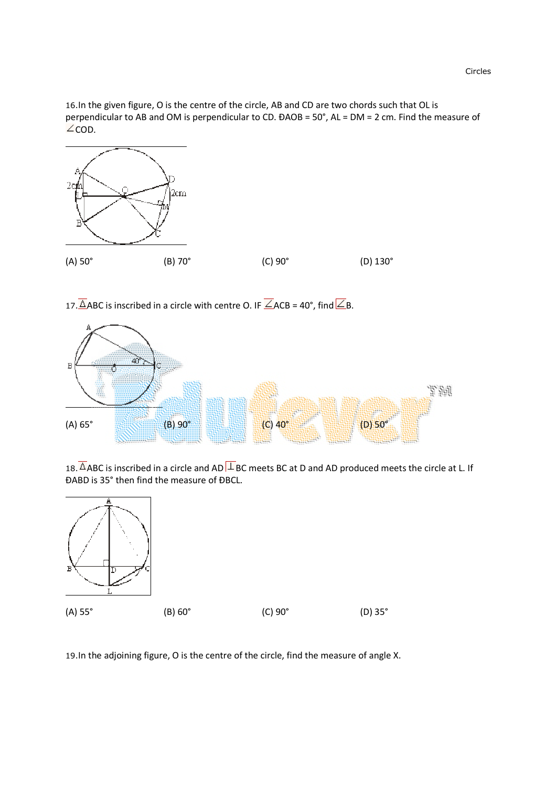16.In the given figure, O is the centre of the circle, AB and CD are two chords such that OL is perpendicular to AB and OM is perpendicular to CD. ÐAOB = 50°, AL = DM = 2 cm. Find the measure of  $\angle$ COD.



17.  $\triangle$ ABC is inscribed in a circle with centre O. IF  $\angle$ ACB = 40°, find  $\angle$ B.



18.  $\Delta$ ABC is inscribed in a circle and AD  $\perp$  BC meets BC at D and AD produced meets the circle at L. If ÐABD is 35° then find the measure of ÐBCL.



19.In the adjoining figure, O is the centre of the circle, find the measure of angle X.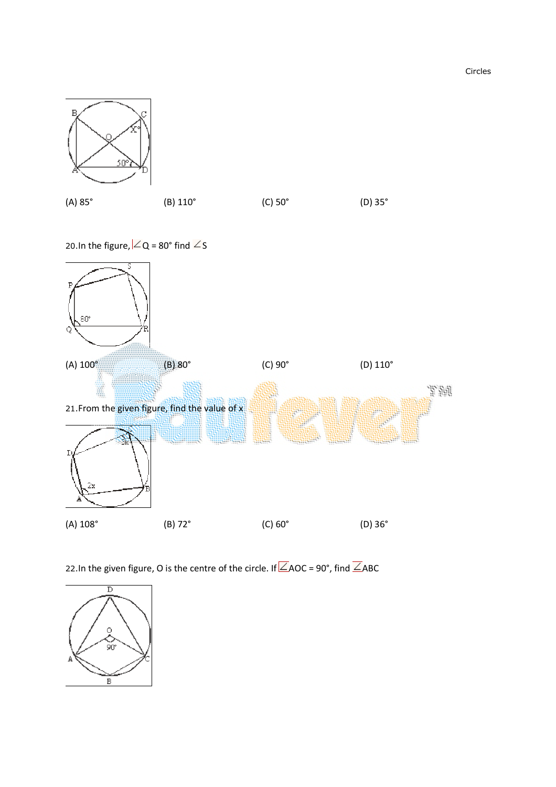(A) 85° (B) 110° (C) 50° (D) 35°

20.In the figure,  $\angle$  Q = 80° find  $\angle$  S



22.In the given figure, O is the centre of the circle. If  $\angle$ AOC = 90°, find  $\angle$ ABC



Circles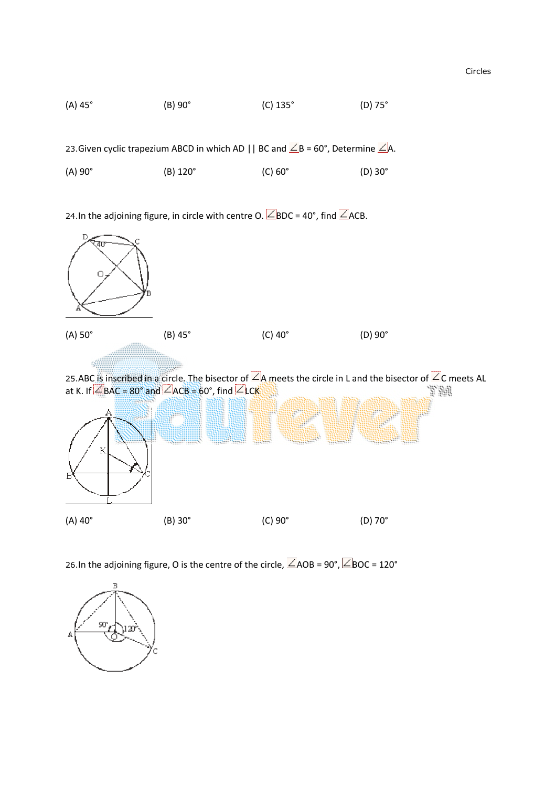

23.Given cyclic trapezium ABCD in which AD || BC and  $\angle$ B = 60°, Determine  $\angle$ A.

| $(A) 90^\circ$ | $(B)$ 120 $^{\circ}$ | $(C)$ 60 $^{\circ}$ | $(D)$ 30 $^{\circ}$ |
|----------------|----------------------|---------------------|---------------------|
|                |                      |                     |                     |

24.In the adjoining figure, in circle with centre O.  $\angle$ BDC = 40°, find  $\angle$ ACB.



26.In the adjoining figure, O is the centre of the circle,  $\overline{\angle}$  AOB = 90°,  $\overline{\angle}$  BOC = 120°

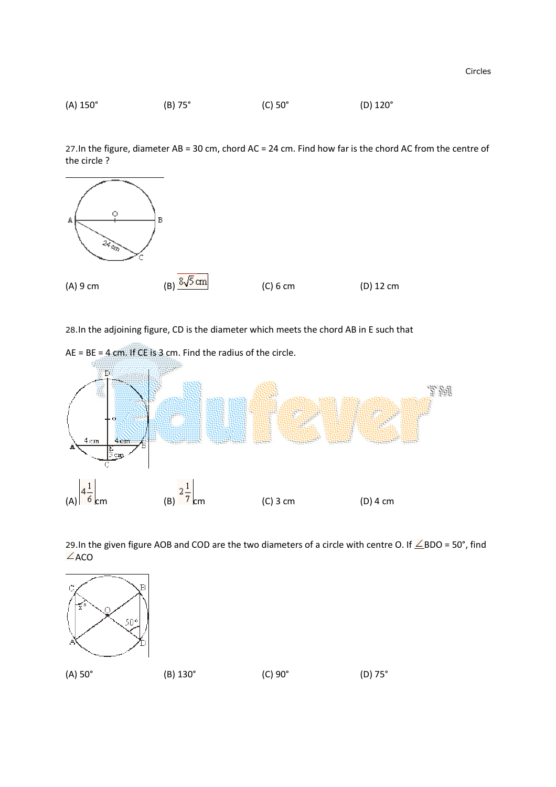

27.In the figure, diameter AB = 30 cm, chord AC = 24 cm. Find how far is the chord AC from the centre of the circle ?



28.In the adjoining figure, CD is the diameter which meets the chord AB in E such that



29.In the given figure AOB and COD are the two diameters of a circle with centre O. If  $\measuredangle$  BDO = 50°, find  $\angle$ ACO

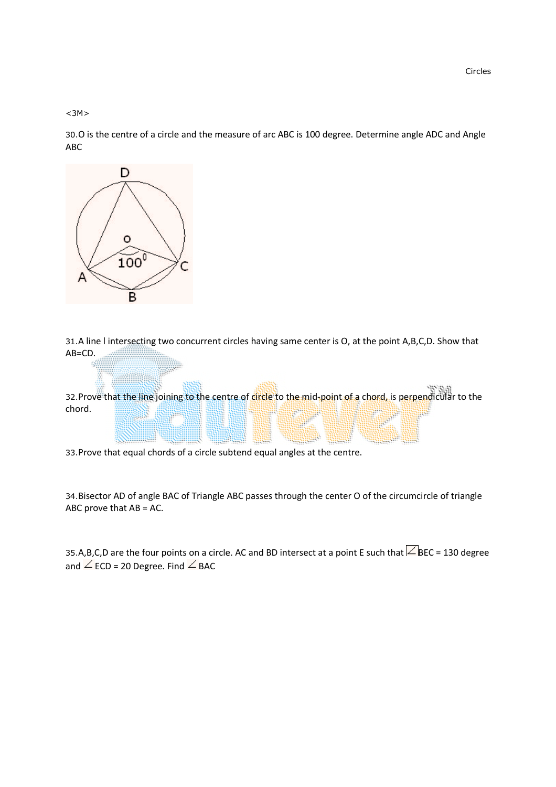$<sub>3M</sub>$ </sub>

30.O is the centre of a circle and the measure of arc ABC is 100 degree. Determine angle ADC and Angle ABC



31.A line l intersecting two concurrent circles having same center is O, at the point A,B,C,D. Show that AB=CD.

32.Prove that the line joining to the centre of circle to the mid-point of a chord, is perpendicular to the chord.

33.Prove that equal chords of a circle subtend equal angles at the centre.

34.Bisector AD of angle BAC of Triangle ABC passes through the center O of the circumcircle of triangle ABC prove that AB = AC.

35.A,B,C,D are the four points on a circle. AC and BD intersect at a point E such that  $\angle$ BEC = 130 degree and  $\angle$  ECD = 20 Degree. Find  $\angle$  BAC